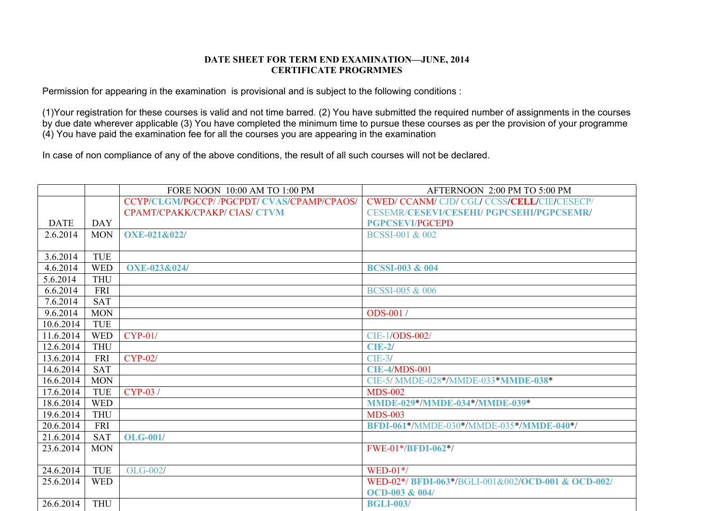## **DATE SHEET FOR TERM END EXAMINATION—JUNE, 2014 CERTIFICATE PROGRMMES**

Permission for appearing in the examination is provisional and is subject to the following conditions :

(1)Your registration for these courses is valid and not time barred. (2) You have submitted the required number of assignments in the courses by due date wherever applicable (3) You have completed the minimum time to pursue these courses as per the provision of your programme (4) You have paid the examination fee for all the courses you are appearing in the examination

In case of non compliance of any of the above conditions, the result of all such courses will not be declared.

|             |            | FORE NOON 10:00 AM TO 1:00 PM               | AFTERNOON 2:00 PM TO 5:00 PM                      |
|-------------|------------|---------------------------------------------|---------------------------------------------------|
|             |            | CCYP/CLGM/PGCCP/ /PGCPDT/ CVAS/CPAMP/CPAOS/ | <b>CWED/CCANM/CJD/CGL/CCSS/CELL/CIE/CESECP/</b>   |
|             |            | CPAMT/CPAKK/CPAKP/ CIAS/ CTVM               | <b>CESEMR/CESEVI/CESEHI/ PGPCSEHI/PGPCSEMR/</b>   |
| <b>DATE</b> | <b>DAY</b> |                                             | <b>PGPCSEVI/PGCEPD</b>                            |
| 2.6.2014    | <b>MON</b> | <b>OXE-021&amp;022/</b>                     | <b>BCSSI-001 &amp; 002</b>                        |
|             |            |                                             |                                                   |
| 3.6.2014    | <b>TUE</b> |                                             |                                                   |
| 4.6.2014    | <b>WED</b> | <b>OXE-023&amp;024/</b>                     | <b>BCSSI-003 &amp; 004</b>                        |
| 5.6.2014    | <b>THU</b> |                                             |                                                   |
| 6.6.2014    | <b>FRI</b> |                                             | <b>BCSSI-005 &amp; 006</b>                        |
| 7.6.2014    | <b>SAT</b> |                                             |                                                   |
| 9.6.2014    | <b>MON</b> |                                             | <b>ODS-001</b> /                                  |
| 10.6.2014   | <b>TUE</b> |                                             |                                                   |
| 11.6.2014   | <b>WED</b> | $CYP-01/$                                   | CIE-1/ODS-002/                                    |
| 12.6.2014   | <b>THU</b> |                                             | $CIE-2/$                                          |
| 13.6.2014   | <b>FRI</b> | $CYP-02/$                                   | $CIE-3/$                                          |
| 14.6.2014   | <b>SAT</b> |                                             | <b>CIE-4/MDS-001</b>                              |
| 16.6.2014   | <b>MON</b> |                                             | CIE-5/ MMDE-028*/MMDE-033*MMDE-038*               |
| 17.6.2014   | <b>TUE</b> | $CYP-03/$                                   | <b>MDS-002</b>                                    |
| 18.6.2014   | <b>WED</b> |                                             | <b>MMDE-029*/MMDE-034*/MMDE-039*</b>              |
| 19.6.2014   | <b>THU</b> |                                             | <b>MDS-003</b>                                    |
| 20.6.2014   | <b>FRI</b> |                                             | BFDI-061*/MMDE-030*/MMDE-035*/MMDE-040*/          |
| 21.6.2014   | <b>SAT</b> | <b>OLG-001/</b>                             |                                                   |
| 23.6.2014   | <b>MON</b> |                                             | $FWE-01*/BFDI-062*/$                              |
|             |            |                                             |                                                   |
| 24.6.2014   | <b>TUE</b> | OLG-002/                                    | $WED-01*/$                                        |
| 25.6.2014   | <b>WED</b> |                                             | WED-02*/BFDI-063*/BGLI-001&002/OCD-001 & OCD-002/ |
|             |            |                                             | <b>OCD-003 &amp; 004/</b>                         |
| 26.6.2014   | <b>THU</b> |                                             | <b>BGLI-003/</b>                                  |